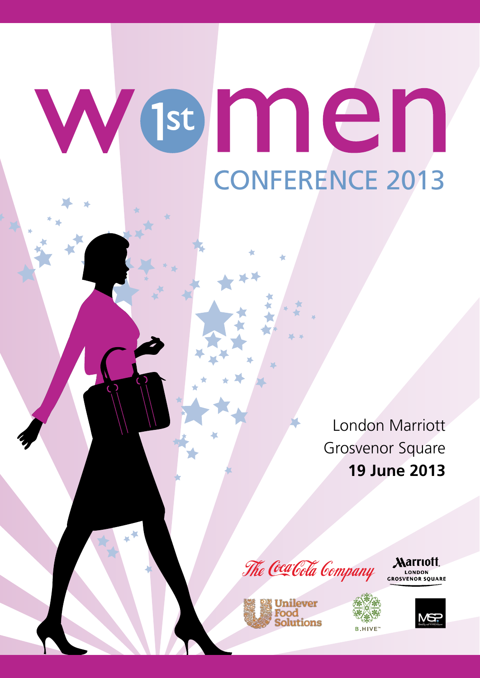# Wenen CONFERENCE 2013

London Marriott Grosvenor Square **19 June 2013**



*Marriott* CROSVENOR SQUARE



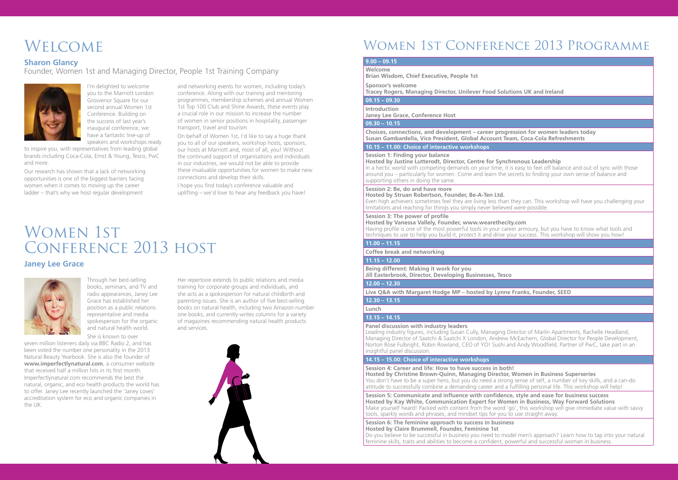I'm delighted to welcome you to the Marriott London Grosvenor Square for our second annual Women 1st Conference. Building on the success of last year's inaugural conference, we have a fantastic line-up of speakers and workshops ready

to inspire you, with representatives from leading global brands including Coca-Cola, Ernst & Young, Tesco, PwC and more.

Our research has shown that a lack of networking opportunities is one of the biggest barriers facing women when it comes to moving up the career ladder – that's why we host regular development

and networking events for women, including today's conference. Along with our training and mentoring programmes, membership schemes and annual Women 1st Top 100 Club and Shine Awards, these events play a crucial role in our mission to increase the number of women in senior positions in hospitality, passenger transport, travel and tourism.

On behalf of Women 1st, I'd like to say a huge thank you to all of our speakers, workshop hosts, sponsors, our hosts at Marriott and, most of all, you! Without the continued support of organisations and individuals in our industries, we would not be able to provide these invaluable opportunities for women to make new connections and develop their skills.

## WOMEN 1ST Conference 2013 host

I hope you find today's conference valuable and uplifting – we'd love to hear any feedback you have!

Through her best-selling books, seminars, and TV and radio appearances, Janey Lee Grace has established her position as a public relations representative and media spokesperson for the organic and natural health world.

She is known to over seven million listeners daily via BBC Radio 2, and has been voted the number one personality in the 2013 Natural Beauty Yearbook. She is also the founder of **www.imperfectlynatural.com**, a consumer website that received half a million hits in its first month. Imperfectlynatural.com recommends the best the natural, organic, and eco health products the world has to offer. Janey Lee recently launched the 'Janey Loves' accreditation system for eco and organic companies in the UK.

Her repertoire extends to public relations and media training for corporate groups and individuals, and she acts as a spokesperson for natural childbirth and parenting issues. She is an author of five best-selling books on natural health, including two Amazon number one books, and currently writes columns for a variety of magazines recommending natural health products and services.



# **WELCOME**

## **Sharon Glancy**

Founder, Women 1st and Managing Director, People 1st Training Company



#### **Janey Lee Grace**



## Women 1st Conference 2013 Programme

#### **9.00 – 09.15**

**Welcome**

**Brian Wisdom, Chief Executive, People 1st**

**Session 6: The feminine approach to success in business Hosted by Claire Brummell, Founder, Feminine 1st** Do you believe to be successful in business you need to model men's approach? Learn how to tap into your natural feminine skills, traits and abilities to become a confident, powerful and successful woman in business.

**Sponsor's welcome**

**Tracey Rogers, Managing Director, Unilever Food Solutions UK and Ireland**

#### **09.15 – 09.30**

**Introduction Janey Lee Grace, Conference Host**

#### **09.30 – 10.15**

**Choices, connections, and development – career progression for women leaders today Susan Gambardella, Vice President, Global Account Team, Coca-Cola Refreshments**

### **10.15 – 11.00: Choice of interactive workshops**

#### **Session 1: Finding your balance**

**Hosted by Justine Lutterodt, Director, Centre for Synchronous Leadership** In a hectic world with competing demands on your time, it is easy to feel off balance and out of sync with those around you – particularly for women. Come and learn the secrets to finding your own sense of balance and supporting others in doing the same.

#### **Session 2: Be, do and have more**

**Hosted by Struan Robertson, Founder, Be-A-Ten Ltd.** Even high achievers sometimes feel they are living less than they can. This workshop will have you challenging your limitations and reaching for things you simply never believed were possible.

#### **Session 3: The power of profile**

**Hosted by Vanessa Vallely, Founder, www.wearethecity.com** Having profile is one of the most powerful tools in your career armoury, but you have to know what tools and techniques to use to help you build it, protect it and drive your success. This workshop will show you how!

#### **11.00 – 11.15**

**Coffee break and networking**

#### **11.15 – 12.00**

**Being different: Making it work for you Jill Easterbrook, Director, Developing Businesses, Tesco**

#### **12.00 – 12.30**

**Live Q&A with Margaret Hodge MP – hosted by Lynne Franks, Founder, SEED**

#### **12.30 – 13.15**

## **Lunch**

### **13.15 – 14.15**

**Panel discussion with industry leaders**

Leading industry figures, including Susan Cully, Managing Director of Marlin Apartments, Rachelle Headland, Managing Director of Saatchi & Saatchi X London, Andrew McEachern, Global Director for People Development, Norton Rose Fulbright, Robin Rowland, CEO of YO! Sushi and Andy Woodfield, Partner of PwC, take part in an insightful panel discussion.

#### **14.15 – 15.00: Choice of interactive workshops**

**Session 4: Career and life: How to have success in both! Hosted by Christine Brown-Quinn, Managing Director, Women in Business Superseries**  You don't have to be a super hero, but you do need a strong sense of self, a number of key skills, and a can-do attitude to successfully combine a demanding career and a fulfilling personal life. This workshop will help!

**Session 5: Communicate and influence with confidence, style and ease for business success Hosted by Kay White, Communication Expert for Women in Business, Way Forward Solutions** Make yourself heard! Packed with content from the word 'go', this workshop will give immediate value with savvy tools, sparkly words and phrases, and mindset tips for you to use straight away.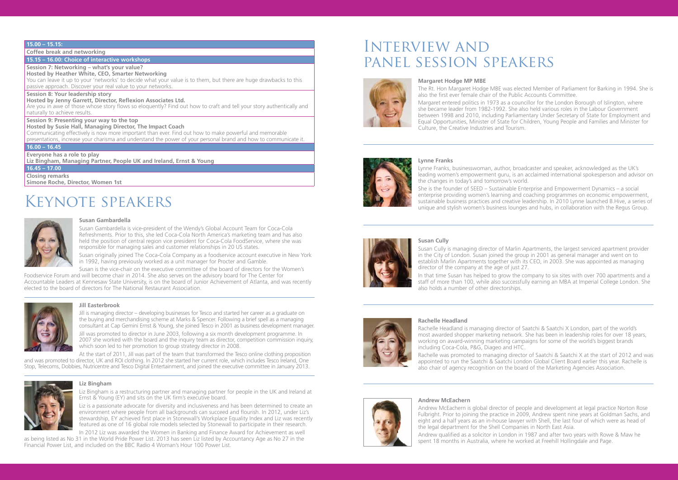#### **15.00 – 15.15:**

**Coffee break and networking**

## **15.15 – 16.00: Choice of interactive workshops**

**Session 7: Networking – what's your value? Hosted by Heather White, CEO, Smarter Networking**

You can leave it up to your 'networks' to decide what your value is to them, but there are huge drawbacks to this passive approach. Discover your real value to your networks.

#### **Session 8: Your leadership story**

**Hosted by Jenny Garrett, Director, Reflexion Associates Ltd.**

Are you in awe of those whose story flows so eloquently? Find out how to craft and tell your story authentically and naturally to achieve results.

#### **Session 9: Presenting your way to the top**

**Hosted by Susie Hall, Managing Director, The Impact Coach**

Communicating effectively is now more important than ever. Find out how to make powerful and memorable presentations, increase your charisma and understand the power of your personal brand and how to communicate it.

#### **16.00 – 16.45**

**Everyone has a role to play**

**Liz Bingham, Managing Partner, People UK and Ireland, Ernst & Young**

#### **16.45 – 17.00**

**Closing remarks**

**Simone Roche, Director, Women 1st**

# Keynote speakers



Liz is a passionate advocate for diversity and inclusiveness and has been determined to create an environment where people from all backgrounds can succeed and flourish. In 2012, under Liz's stewardship, EY achieved first place in Stonewall's Workplace Equality Index and Liz was recently featured as one of 16 global role models selected by Stonewall to participate in their research.

## Interview and panel session speakers



#### **Susan Gambardella**

Susan Gambardella is vice-president of the Wendy's Global Account Team for Coca-Cola Refreshments. Prior to this, she led Coca-Cola North America's marketing team and has also held the position of central region vice president for Coca-Cola FoodService, where she was responsible for managing sales and customer relationships in 20 US states.

Susan originally joined The Coca-Cola Company as a foodservice account executive in New York in 1992, having previously worked as a unit manager for Procter and Gamble.

Lynne Franks, businesswoman, author, broadcaster and speaker, acknowledged as the UK's leading women's empowerment guru, is an acclaimed international spokesperson and advisor on the changes in today's and tomorrow's world. She is the founder of SEED – Sustainable Enterprise and Empowerment Dynamics – a social enterprise providing women's learning and coaching programmes on economic empowerment, sustainable business practices and creative leadership. In 2010 Lynne launched B.Hive, a series of unique and stylish women's business lounges and hubs, in collaboration with the Regus Group.

Susan is the vice-chair on the executive committee of the board of directors for the Women's Foodservice Forum and will become chair in 2014. She also serves on the advisory board for The Center for Accountable Leaders at Kennesaw State University, is on the board of Junior Achievement of Atlanta, and was recently elected to the board of directors for The National Restaurant Association.



#### **Liz Bingham**

Liz Bingham is a restructuring partner and managing partner for people in the UK and Ireland at Ernst & Young (EY) and sits on the UK firm's executive board.

In 2012 Liz was awarded the Women in Banking and Finance Award for Achievement as well as being listed as No 31 in the World Pride Power List. 2013 has seen Liz listed by Accountancy Age as No 27 in the Financial Power List, and included on the BBC Radio 4 Woman's Hour 100 Power List.

#### **Margaret Hodge MP MBE**

The Rt. Hon Margaret Hodge MBE was elected Member of Parliament for Barking in 1994. She is also the first ever female chair of the Public Accounts Committee.

Margaret entered politics in 1973 as a councillor for the London Borough of Islington, where she became leader from 1982-1992. She also held various roles in the Labour Government between 1998 and 2010, including Parliamentary Under Secretary of State for Employment and Equal Opportunities, Minister of State for Children, Young People and Families and Minister for Culture, the Creative Industries and Tourism.



#### **Lynne Franks**

#### **Susan Cully**

Susan Cully is managing director of Marlin Apartments, the largest serviced apartment provider in the City of London. Susan joined the group in 2001 as general manager and went on to establish Marlin Apartments together with its CEO, in 2003. She was appointed as managing





In that time Susan has helped to grow the company to six sites with over 700 apartments and a staff of more than 100, while also successfully earning an MBA at Imperial College London. She

#### **Rachelle Headland**

Rachelle Headland is managing director of Saatchi & Saatchi X London, part of the world's most awarded shopper marketing network. She has been in leadership roles for over 18 years, working on award-winning marketing campaigns for some of the world's biggest brands including Coca-Cola, P&G, Diageo and HTC.

Rachelle was promoted to managing director of Saatchi & Saatchi X at the start of 2012 and was appointed to run the Saatchi & Saatchi London Global Client Board earlier this year. Rachelle is also chair of agency recognition on the board of the Marketing Agencies Association.

#### **Jill Easterbrook**

Jill is managing director – developing businesses for Tesco and started her career as a graduate on the buying and merchandising scheme at Marks & Spencer. Following a brief spell as a managing consultant at Cap Gemini Ernst & Young, she joined Tesco in 2001 as business development manager.

Jill was promoted to director in June 2003, following a six month development programme. In 2007 she worked with the board and the inquiry team as director, competition commission inquiry, which soon led to her promotion to group strategy director in 2008.

At the start of 2011, Jill was part of the team that transformed the Tesco online clothing proposition and was promoted to director, UK and ROI clothing. In 2012 she started her current role, which includes Tesco Ireland, One Stop, Telecoms, Dobbies, Nutricentre and Tesco Digital Entertainment, and joined the executive committee in January 2013.



## **Andrew McEachern**

Andrew McEachern is global director of people and development at legal practice Norton Rose Fulbright. Prior to joining the practice in 2009, Andrew spent nine years at Goldman Sachs, and eight and a half years as an in-house lawyer with Shell, the last four of which were as head of the legal department for the Shell Companies in North East Asia.

Andrew qualified as a solicitor in London in 1987 and after two years with Rowe & Maw he spent 18 months in Australia, where he worked at Freehill Hollingdale and Page.



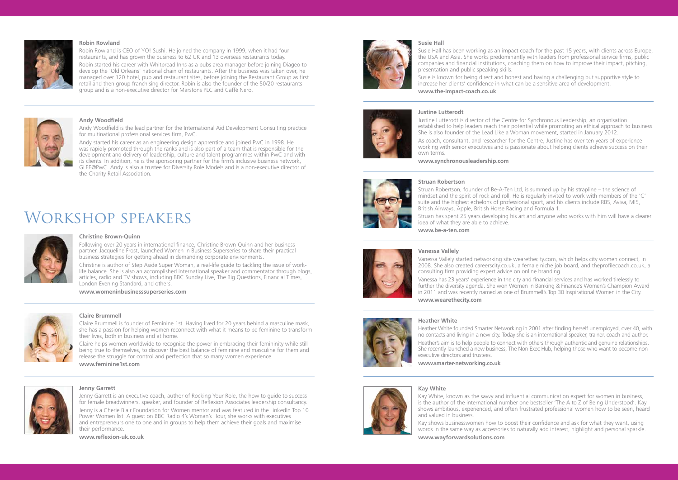#### **Robin Rowland**

Robin Rowland is CEO of YO! Sushi. He joined the company in 1999, when it had four restaurants, and has grown the business to 62 UK and 13 overseas restaurants today. Robin started his career with Whitbread Inns as a pubs area manager before joining Diageo to develop the 'Old Orleans' national chain of restaurants. After the business was taken over, he

managed over 120 hotel, pub and restaurant sites, before joining the Restaurant Group as first retail and then group franchising director. Robin is also the founder of the 50/20 restaurants group and is a non-executive director for Marstons PLC and Caffè Nero.



#### **Andy Woodfield**

Andy Woodfield is the lead partner for the International Aid Development Consulting practice for multinational professional services firm, PwC.

Andy started his career as an engineering design apprentice and joined PwC in 1998. He was rapidly promoted through the ranks and is also part of a team that is responsible for the development and delivery of leadership, culture and talent programmes within PwC and with its clients. In addition, he is the sponsoring partner for the firm's inclusive business network, GLEE@PwC. Andy is also a trustee for Diversity Role Models and is a non-executive director of the Charity Retail Association.

## Workshop speakers



#### **Christine Brown-Quinn**

Following over 20 years in international finance, Christine Brown-Quinn and her business partner, Jacqueline Frost, launched Women in Business Superseries to share their practical business strategies for getting ahead in demanding corporate environments.

Christine is author of Step Aside Super Woman, a real-life guide to tackling the issue of worklife balance. She is also an accomplished international speaker and commentator through blogs, articles, radio and TV shows, including BBC Sunday Live, The Big Questions, Financial Times, London Evening Standard, and others.

**www.womeninbusinesssuperseries.com**



#### **Jenny Garrett**

Jenny Garrett is an executive coach, author of Rocking Your Role, the how to guide to success for female breadwinners, speaker, and founder of Reflexion Associates leadership consultancy. Jenny is a Cherie Blair Foundation for Women mentor and was featured in the LinkedIn Top 10 Power Women list. A guest on BBC Radio 4's Woman's Hour, she works with executives and entrepreneurs one to one and in groups to help them achieve their goals and maximise their performance.

**www.reflexion-uk.co.uk**



#### **Claire Brummell**

Claire Brummell is founder of Feminine 1st. Having lived for 20 years behind a masculine mask, she has a passion for helping women reconnect with what it means to be feminine to transform their lives, both in business and at home.

Claire helps women worldwide to recognise the power in embracing their femininity while still being true to themselves, to discover the best balance of feminine and masculine for them and release the struggle for control and perfection that so many women experience.

**www.feminine1st.com**



#### **Susie Hall**

Susie Hall has been working as an impact coach for the past 15 years, with clients across Europe, the USA and Asia. She works predominantly with leaders from professional service firms, public companies and financial institutions, coaching them on how to improve their impact, pitching, presentation and public speaking skills. Susie is known for being direct and honest and having a challenging but supportive style to increase her clients' confidence in what can be a sensitive area of development.

**www.the-impact-coach.co.uk**



Justine Lutterodt is director of the Centre for Synchronous Leadership, an organisation established to help leaders reach their potential while promoting an ethical approach to business. She is also founder of the Lead Like a Woman movement, started in January 2012.

As coach, consultant, and researcher for the Centre, Justine has over ten years of experience working with senior executives and is passionate about helping clients achieve success on their

# own terms.

**www.synchronousleadership.com**

#### **Struan Robertson**



Struan Robertson, founder of Be-A-Ten Ltd, is summed up by his strapline – the science of mindset and the spirit of rock and roll. He is regularly invited to work with members of the 'C' suite and the highest echelons of professional sport, and his clients include RBS, Aviva, MI5, British Airways, Apple, British Horse Racing and Formula 1. Struan has spent 25 years developing his art and anyone who works with him will have a clearer idea of what they are able to achieve. **www.be-a-ten.com** 

#### **Vanessa Vallely**

Vanessa Vallely started networking site wearethecity.com, which helps city women connect, in 2008. She also created careerscity.co.uk, a female niche job board, and theprofilecoach.co.uk, a



Vanessa has 23 years' experience in the city and financial services and has worked tirelessly to further the diversity agenda. She won Women in Banking & Finance's Women's Champion Award in 2011 and was recently named as one of Brummell's Top 30 Inspirational Women in the City.

**www.wearethecity.com**

#### **Heather White**



Heather White founded Smarter Networking in 2001 after finding herself unemployed, over 40, with no contacts and living in a new city. Today she is an international speaker, trainer, coach and author. Heather's aim is to help people to connect with others through authentic and genuine relationships. She recently launched a new business, The Non Exec Hub, helping those who want to become non-

executive directors and trustees.

**www.smarter-networking.co.uk**

#### **Kay White**

Kay White, known as the savvy and influential communication expert for women in business, is the author of the international number one bestseller 'The A to Z of Being Understood'. Kay shows ambitious, experienced, and often frustrated professional women how to be seen, heard and valued in business.

Kay shows businesswomen how to boost their confidence and ask for what they want, using words in the same way as accessories to naturally add interest, highlight and personal sparkle.

**www.wayforwardsolutions.com**